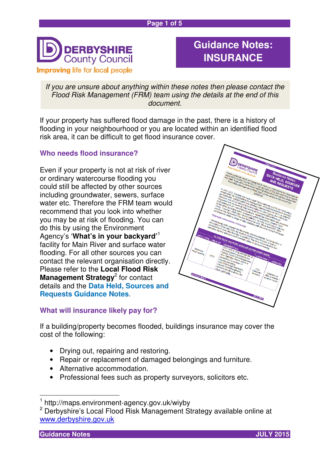

# **Guidance Notes: INSURANCE**

If you are unsure about anything within these notes then please contact the Flood Risk Management (FRM) team using the details at the end of this document.

If your property has suffered flood damage in the past, there is a history of flooding in your neighbourhood or you are located within an identified flood risk area, it can be difficult to get flood insurance cover.

# **Who needs flood insurance?**

Even if your property is not at risk of river or ordinary watercourse flooding you could still be affected by other sources including groundwater, sewers, surface water etc. Therefore the FRM team would recommend that you look into whether you may be at risk of flooding. You can do this by using the Environment Agency's '**What's in your backyard'**<sup>1</sup> facility for Main River and surface water flooding. For all other sources you can contact the relevant organisation directly. Please refer to the **Local Flood Risk Management Strategy<sup>2</sup> for contact** details and the **Data Held, Sources and Requests Guidance Notes**.



### **What will insurance likely pay for?**

If a building/property becomes flooded, buildings insurance may cover the cost of the following:

- Drying out, repairing and restoring.
- Repair or replacement of damaged belongings and furniture.
- Alternative accommodation.
- Professional fees such as property surveyors, solicitors etc.

**Guidance Notes JULY 2015** 

 $\overline{a}$ 



<sup>1</sup> http://maps.environment-agency.gov.uk/wiyby

<sup>&</sup>lt;sup>2</sup> Derbyshire's Local Flood Risk Management Strategy available online at www.derbyshire.gov.uk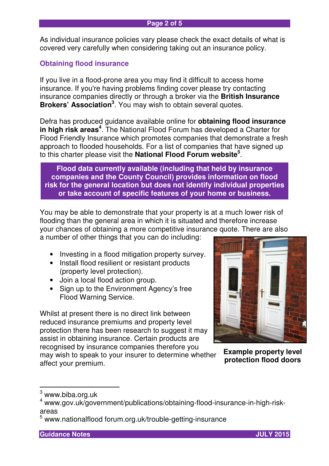As individual insurance policies vary please check the exact details of what is covered very carefully when considering taking out an insurance policy.

# **Obtaining flood insurance**

If you live in a flood-prone area you may find it difficult to access home insurance. If you're having problems finding cover please try contacting insurance companies directly or through a broker via the **British Insurance Brokers' Association<sup>3</sup>** . You may wish to obtain several quotes.

Defra has produced guidance available online for **obtaining flood insurance in high risk areas<sup>4</sup>** . The National Flood Forum has developed a Charter for Flood Friendly Insurance which promotes companies that demonstrate a fresh approach to flooded households. For a list of companies that have signed up to this charter please visit the **National Flood Forum website<sup>5</sup>** .

**Flood data currently available (including that held by insurance companies and the County Council) provides information on flood risk for the general location but does not identify individual properties or take account of specific features of your home or business.** 

You may be able to demonstrate that your property is at a much lower risk of flooding than the general area in which it is situated and therefore increase your chances of obtaining a more competitive insurance quote. There are also

a number of other things that you can do including:

- Investing in a flood mitigation property survey.
- Install flood resilient or resistant products (property level protection).
- Join a local flood action group.
- Sign up to the Environment Agency's free Flood Warning Service.

Whilst at present there is no direct link between reduced insurance premiums and property level protection there has been research to suggest it may assist in obtaining insurance. Certain products are recognised by insurance companies therefore you may wish to speak to your insurer to determine whether affect your premium.



**Example property level protection flood doors** 

 $\overline{a}$ 

**Guidance Notes JULY 2015** 



 $^3$  www.biba.org.uk

<sup>4</sup> www.gov.uk/government/publications/obtaining-flood-insurance-in-high-riskareas

<sup>5</sup> www.nationalflood forum.org.uk/trouble-getting-insurance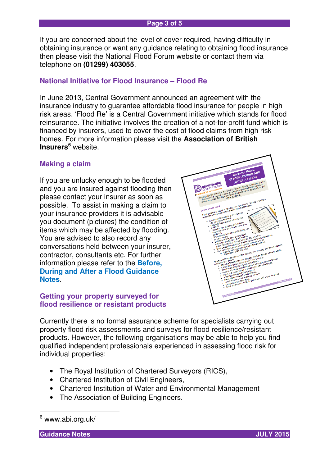#### **Page 3 of 5**

If you are concerned about the level of cover required, having difficulty in obtaining insurance or want any guidance relating to obtaining flood insurance then please visit the National Flood Forum website or contact them via telephone on **(01299) 403055**.

## **National Initiative for Flood Insurance – Flood Re**

In June 2013, Central Government announced an agreement with the insurance industry to guarantee affordable flood insurance for people in high risk areas. 'Flood Re' is a Central Government initiative which stands for flood reinsurance. The initiative involves the creation of a not-for-profit fund which is financed by insurers, used to cover the cost of flood claims from high risk homes. For more information please visit the **Association of British Insurers<sup>6</sup>** website.

#### **Making a claim**

If you are unlucky enough to be flooded and you are insured against flooding then please contact your insurer as soon as possible. To assist in making a claim to your insurance providers it is advisable you document (pictures) the condition of items which may be affected by flooding. You are advised to also record any conversations held between your insurer, contractor, consultants etc. For further information please refer to the **Before, During and After a Flood Guidance Notes**.

#### **Getting your property surveyed for flood resilience or resistant products**



Currently there is no formal assurance scheme for specialists carrying out property flood risk assessments and surveys for flood resilience/resistant products. However, the following organisations may be able to help you find qualified independent professionals experienced in assessing flood risk for individual properties:

- The Royal Institution of Chartered Surveyors (RICS),
- Chartered Institution of Civil Engineers,
- Chartered Institution of Water and Environmental Management
- The Association of Building Engineers.

**Guidance Notes JULY 2015** 



<sup>&</sup>lt;sup>6</sup> www.abi.org.uk/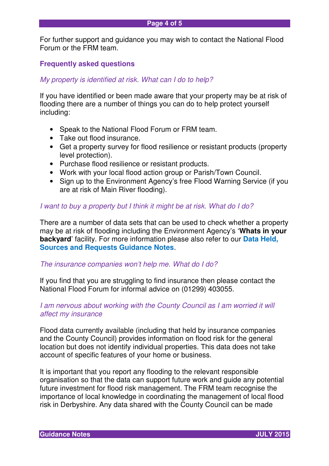For further support and guidance you may wish to contact the National Flood Forum or the FRM team.

## **Frequently asked questions**

#### My property is identified at risk. What can I do to help?

If you have identified or been made aware that your property may be at risk of flooding there are a number of things you can do to help protect yourself including:

- Speak to the National Flood Forum or FRM team.
- Take out flood insurance.
- Get a property survey for flood resilience or resistant products (property level protection).
- Purchase flood resilience or resistant products.
- Work with your local flood action group or Parish/Town Council.
- Sign up to the Environment Agency's free Flood Warning Service (if you are at risk of Main River flooding).

#### I want to buy a property but I think it might be at risk. What do I do?

There are a number of data sets that can be used to check whether a property may be at risk of flooding including the Environment Agency's '**Whats in your backyard**' facility. For more information please also refer to our **Data Held, Sources and Requests Guidance Notes**.

#### The insurance companies won't help me. What do I do?

If you find that you are struggling to find insurance then please contact the National Flood Forum for informal advice on (01299) 403055.

#### I am nervous about working with the County Council as I am worried it will affect my insurance

Flood data currently available (including that held by insurance companies and the County Council) provides information on flood risk for the general location but does not identify individual properties. This data does not take account of specific features of your home or business.

It is important that you report any flooding to the relevant responsible organisation so that the data can support future work and guide any potential future investment for flood risk management. The FRM team recognise the importance of local knowledge in coordinating the management of local flood risk in Derbyshire. Any data shared with the County Council can be made